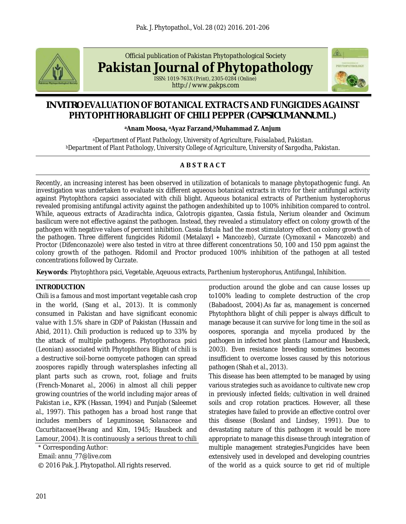

Official publication of Pakistan Phytopathological Society

**Pakistan Journal of Phytopathology**

ISSN: 1019-763X (Print), 2305-0284 (Online) http://www.pakps.com



# *IN VITRO* **EVALUATION OF BOTANICAL EXTRACTS AND FUNGICIDES AGAINST PHYTOPHTHORABLIGHT OF CHILI PEPPER (***CAPSICUM ANNUM* **L.)**

**<sup>a</sup>Anam Moosa, <sup>a</sup>Ayaz Farzand,bMuhammad Z. Anjum**

*<sup>a</sup>Department of Plant Pathology, University of Agriculture, Faisalabad, Pakistan. <sup>b</sup>Department of Plant Pathology, University College of Agriculture, University of Sargodha, Pakistan.*

# **ABSTRACT**

Recently, an increasing interest has been observed in utilization of botanicals to manage phytopathogenic fungi. An investigation was undertaken to evaluate six different aqueous botanical extracts *in vitro* for their antifungal activity against *Phytophthora capsici* associated with chili blight. Aqueous botanical extracts of *Parthenium hysterophorus* revealed promising antifungal activity against the pathogen andexhibited up to 100% inhibition compared to control. While, aqueous extracts of *Azadirachta indica, Calotropis gigantea, Cassia fistula, Nerium oleander* and *Oscimum basilicum* were not effective against the pathogen. Instead, they revealed a stimulatory effect on colony growth of the pathogen with negative values of percent inhibition. *Cassia fistula* had the most stimulatory effect on colony growth of the pathogen. Three different fungicides Ridomil (Metalaxyl + Mancozeb), Curzate (Cymoxanil + Mancozeb) and Proctor (Difenconazole) were also tested *in vitro* at three different concentrations 50, 100 and 150 ppm against the colony growth of the pathogen. Ridomil and Proctor produced 100% inhibition of the pathogen at all tested concentrations followed by Curzate.

**Keywords**: *Phytophthora psici*, Vegetable, Aqeuous extracts, *Parthenium hysterophorus,* Antifungal, Inhibition.

#### **INTRODUCTION**

Chili is a famous and most important vegetable cash crop in the world, (Sang *et al.,* 2013). It is commonly consumed in Pakistan and have significant economic value with 1.5% share in GDP of Pakistan (Hussain and Abid, 2011). Chili production is reduced up to 33% by the attack of multiple pathogens. *Phytopthoraca psici* (Leonian) associated with *Phytophthora* Blight of chili is a destructive soil-borne oomycete pathogen can spread zoospores rapidly through watersplashes infecting all plant parts such as crown, root, foliage and fruits (French-Monar*et al.,* 2006) in almost all chili pepper growing countries of the world including major areas of Pakistan i.e., KPK (Hassan, 1994) and Punjab (Saleem*et* al., 1997). This pathogen has a broad host range that includes members of *Leguminosae*, *Solanaceae* and *Cucurbitaceae*(Hwang and Kim, 1945; Hausbeck and Lamour, 2004). It is continuously a serious threat to chili

\* Corresponding Author:

Email: annu\_77@live.com

© 2016 Pak. J. Phytopathol. All rights reserved.

production around the globe and can cause losses up to100% leading to complete destruction of the crop (Babadoost, 2004).As far as, management is concerned *Phytophthora* blight of chili pepper is always difficult to manage because it can survive for long time in the soil as oospores, sporangia and mycelia produced by the pathogen in infected host plants (Lamour and Hausbeck, 2003). Even resistance breeding sometimes becomes insufficient to overcome losses caused by this notorious pathogen (Shah *et al.,* 2013).

This disease has been attempted to be managed by using various strategies such as avoidance to cultivate new crop in previously infected fields; cultivation in well drained soils and crop rotation practices. However, all these strategies have failed to provide an effective control over this disease (Bosland and Lindsey, 1991). Due to devastating nature of this pathogen it would be more appropriate to manage this disease through integration of multiple management strategies.Fungicides have been extensively used in developed and developing countries of the world as a quick source to get rid of multiple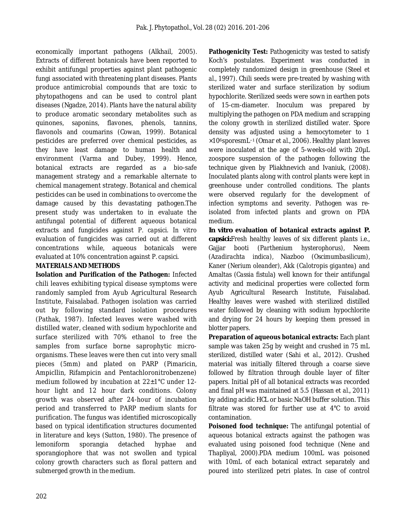economically important pathogens (Alkhail, 2005). Extracts of different botanicals have been reported to exhibit antifungal properties against plant pathogenic fungi associated with threatening plant diseases. Plants produce antimicrobial compounds that are toxic to phytopathogens and can be used to control plant diseases (Ngadze, 2014). Plants have the natural ability to produce aromatic secondary metabolites such as quinones, saponins, flavones, phenols, tannins, flavonols and coumarins (Cowan, 1999). Botanical pesticides are preferred over chemical pesticides, as they have least damage to human health and environment (Varma and Dubey, 1999). Hence, botanical extracts are regarded as a bio-safe management strategy and a remarkable alternate to chemical management strategy. Botanical and chemical pesticides can be used in combinations to overcome the damage caused by this devastating pathogen.The present study was undertaken to in evaluate the antifungal potential of different aqueous botanical extracts and fungicides against *P. capsici*. *In vitro* evaluation of fungicides was carried out at different concentrations while, aqueous botanicals were evaluated at 10% concentration against *P. capsici*. 

## **MATERIALS AND METHODS**

**Isolation and Purification of the Pathogen:** Infected chili leaves exhibiting typical disease symptoms were randomly sampled from Ayub Agricultural Research Institute, Faisalabad. Pathogen isolation was carried out by following standard isolation procedures (Pathak, 1987). Infected leaves were washed with distilled water, cleaned with sodium hypochlorite and surface sterilized with 70% ethanol to free the samples from surface borne saprophytic microorganisms. These leaves were then cut into very small pieces (5mm) and plated on PARP (Pimaricin, Ampicllin, Rifampicin and Pentachloronitrobenzene) medium followed by incubation at 22±1°C under 12 hour light and 12 hour dark conditions. Colony growth was observed after 24-hour of incubation period and transferred to PARP medium slants for purification. The fungus was identified microscopically based on typical identification structures documented in literature and keys (Sutton, 1980). The presence of lemoniform sporangia detached hyphae and sporangiophore that was not swollen and typical colony growth characters such as floral pattern and submerged growth in the medium.

**Pathogenicity Test:** Pathogenicity was tested to satisfy Koch's postulates. Experiment was conducted in completely randomized design in greenhouse (Steel *et al.,* 1997). Chili seeds were pre-treated by washing with sterilized water and surface sterilization by sodium hypochlorite. Sterilized seeds were sown in earthen pots of 15-cm-diameter. Inoculum was prepared by multiplying the pathogen on PDA medium and scrapping the colony growth in sterilized distilled water. Spore density was adjusted using a hemocytometer to 1 ×106sporesmL−1 (Omar *et al.,* 2006). Healthy plant leaves were inoculated at the age of 5-weeks-old with 20µL zoospore suspension of the pathogen following the technique given by Pliakhnevich and Ivaniuk, (2008). Inoculated plants along with control plants were kept in greenhouse under controlled conditions. The plants were observed regularly for the development of infection symptoms and severity. Pathogen was reisolated from infected plants and grown on PDA medium.

*In vitro* **evaluation of botanical extracts against** *P. capsici:*Fresh healthy leaves of six different plants i.e., Gajjar booti (*Parthenium hysterophorus),* Neem (*Azadirachta indica),* Niazboo (*Oscimumbasilicum),* Kaner (*Nerium oleander),* Akk (*Calotropis gigantea*) and Amaltas (Cassia fistula) well known for their antifungal activity and medicinal properties were collected form Ayub Agricultural Research Institute, Faisalabad. Healthy leaves were washed with sterilized distilled water followed by cleaning with sodium hypochlorite and drying for 24 hours by keeping them pressed in blotter papers.

**Preparation of aqueous botanical extracts:** Each plant sample was taken 25g by weight and crushed in 75 mL sterilized, distilled water (Sahi *et al.,* 2012). Crushed material was initially filtered through a coarse sieve followed by filtration through double layer of filter papers. Initial pH of all botanical extracts was recorded and final pH was maintained at 5.5 (Hassan *et al.,* 2011) by adding acidic HCL or basic NaOH buffer solution. This filtrate was stored for further use at 4°C to avoid contamination.

**Poisoned food technique:** The antifungal potential of aqueous botanical extracts against the pathogen was evaluated using poisoned food technique (Nene and Thapliyal, 2000)*.*PDA medium 100mL was poisoned with 10mL of each botanical extract separately and poured into sterilized petri plates. In case of control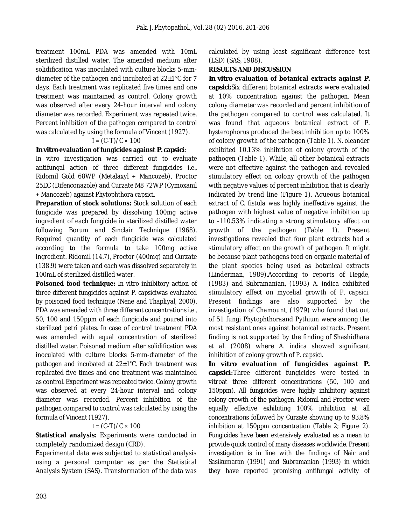treatment 100mL PDA was amended with 10mL sterilized distilled water. The amended medium after solidification was inoculated with culture blocks 5-mmdiameter of the pathogen and incubated at  $22\pm1^{\circ}$ C for 7 days. Each treatment was replicated five times and one treatment was maintained as control. Colony growth was observed after every 24-hour interval and colony diameter was recorded. Experiment was repeated twice. Percent inhibition of the pathogen compared to control was calculated by using the formula of Vincent (1927).

#### $I = (C-T)/C \times 100$

# *In vitro* **evaluation of fungicides against** *P. capsici***:**

*In vitro* investigation was carried out to evaluate antifungal action of three different fungicides i.e., Ridomil Gold 68WP (Metalaxyl + Mancozeb), Proctor 25EC (Difenconazole) and Curzate M8 72WP (Cymoxanil + Mancozeb) against *Phytophthora capsici*. 

**Preparation of stock solutions:** Stock solution of each fungicide was prepared by dissolving 100mg active ingredient of each fungicide in sterilized distilled water following Borum and Sinclair Technique (1968). Required quantity of each fungicide was calculated according to the formula to take 100mg active ingredient. Ridomil (14.7), Proctor (400mg) and Curzate (138.9) were taken and each was dissolved separately in 100mL of sterilized distilled water.

**Poisoned food technique:** *In vitro* inhibitory action of three different fungicides against *P. capsici*was evaluated by poisoned food technique (Nene and Thapliyal, 2000). PDA was amended with three different concentrations i.e., 50, 100 and 150ppm of each fungicide and poured into sterilized petri plates. In case of control treatment PDA was amended with equal concentration of sterilized distilled water. Poisoned medium after solidification was inoculated with culture blocks 5-mm-diameter of the pathogen and incubated at 22±1˚C. Each treatment was replicated five times and one treatment was maintained as control. Experiment was repeated twice. Colony growth was observed at every 24-hour interval and colony diameter was recorded. Percent inhibition of the pathogen compared to control was calculated by using the formula of Vincent (1927).

# $I = (C-T)/C \times 100$

**Statistical analysis:** Experiments were conducted in completely randomized design (CRD).

Experimental data was subjected to statistical analysis using a personal computer as per the Statistical Analysis System (SAS). Transformation of the data was calculated by using least significant difference test (LSD) (SAS, 1988).

## **RESULTS AND DISCUSSION**

*In vitro* **evaluation of botanical extracts against** *P. capsici***:**Six different botanical extracts were evaluated at 10% concentration against the pathogen. Mean colony diameter was recorded and percent inhibition of the pathogen compared to control was calculated. It was found that aqueous botanical extract of *P. hysterophorus* produced the best inhibition up to 100% of colony growth of the pathogen (Table 1). *N. oleander* exhibited 10.13% inhibition of colony growth of the pathogen (Table 1). While, all other botanical extracts were not effective against the pathogen and revealed stimulatory effect on colony growth of the pathogen with negative values of percent inhibition that is clearly indicated by trend line (Figure 1). Aqueous botanical extract of *C. fistula* was highly ineffective against the pathogen with highest value of negative inhibition up to -110.53% indicating a strong stimulatory effect on growth of the pathogen (Table 1). Present investigations revealed that four plant extracts had a stimulatory effect on the growth of pathogen. It might be because plant pathogens feed on organic material of the plant species being used as botanical extracts (Linderman, 1989).According to reports of Hegde, (1983) and Subramanian, (1993) *A. indica* exhibited stimulatory effect on mycelial growth of *P. capsici.* Present findings are also supported by the investigation of Chamount, (1979) who found that out of 51 fungi *Phytophthora*and *Pythium* were among the most resistant ones against botanical extracts. Present finding is not supported by the finding of Shashidhara *et al.* (2008) where *A. indica* showed significant inhibition of colony growth of *P. capsici*. 

*In vitro* **evaluation of fungicides against** *P. capsici***:**Three different fungicides were tested *in vitro*at three different concentrations (50, 100 and 150ppm). All fungicides were highly inhibitory against colony growth of the pathogen. Ridomil and Proctor were equally effective exhibiting 100% inhibition at all concentrations followed by Curzate showing up to 93.8% inhibition at 150ppm concentration (Table 2; Figure 2). Fungicides have been extensively evaluated as a mean to provide quick control of many diseases worldwide. Present investigation is in line with the findings of Nair and Sasikumaran (1991) and Subramanian (1993) in which they have reported promising antifungal activity of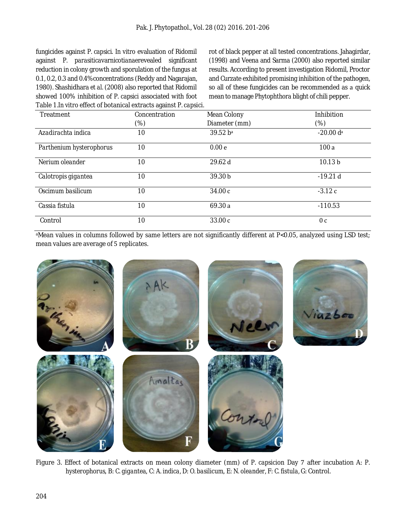fungicides against *P. capsici*. *In vitro* evaluation of Ridomil against *P. parasitica*var*nicotianae*revealed significant reduction in colony growth and sporulation of the fungus at 0.1, 0.2, 0.3 and 0.4%concentrations (Reddy and Nagarajan, 1980). Shashidhara *et al.* (2008) also reported that Ridomil showed 100% inhibition of *P. capsici* associated with foot Table 1.*In vitro* effect of botanical extracts against *P. capsici.* rot of black pepper at all tested concentrations. Jahagirdar, (1998) and Veena and Sarma (2000) also reported similar results. According to present investigation Ridomil, Proctor and Curzate exhibited promising inhibition of the pathogen, so all of these fungicides can be recommended as a quick mean to manage *Phytophthora* blight of chili pepper.

| Treatment                | Concentration | Mean Colony       | Inhibition              |
|--------------------------|---------------|-------------------|-------------------------|
|                          | $(\%)$        | Diameter (mm)     | $(\%)$                  |
| Azadirachta indica       | 10            | 39.52 ba          | $-20.00$ d <sup>a</sup> |
| Parthenium hysterophorus | 10            | 0.00 <sub>e</sub> | 100a                    |
| Nerium oleander          | 10            | 29.62 d           | 10.13 <sub>b</sub>      |
| Calotropis gigantea      | 10            | 39.30 b           | $-19.21d$               |
| Oscimum basilicum        | 10            | 34.00 c           | $-3.12c$                |
| Cassia fistula           | 10            | 69.30 a           | $-110.53$               |
| Control                  | 10            | 33.00c            | 0 <sub>c</sub>          |

<sup>a</sup>Mean values in columns followed by same letters are not significantly different at *P*<0.05, analyzed using LSD test; mean values are average of 5 replicates.



Figure 3. Effect of botanical extracts on mean colony diameter (mm) of *P. capsici*on Day 7 after incubation A: *P. hysterophorus*, B: *C. gigantea*, C: *A. indica,* D: *O. basilicum*, E: *N. oleander,* F: *C. fistula,* G: Control.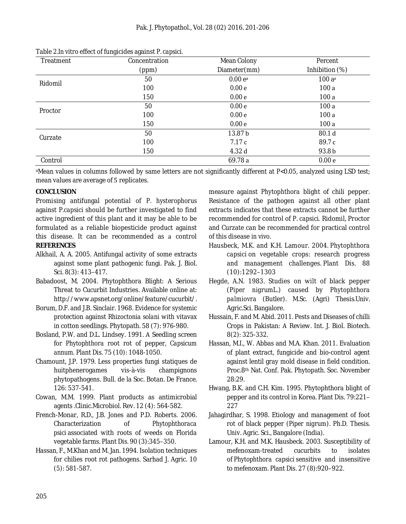| Treatment | ັ<br>ັ<br>Concentration | Mean Colony       | Percent           |
|-----------|-------------------------|-------------------|-------------------|
|           | (ppm)                   | Diameter(mm)      | Inhibition (%)    |
| Ridomil   | 50                      | 0.00 ea           | $100a^a$          |
|           | 100                     | 0.00 <sub>e</sub> | 100a              |
|           | 150                     | 0.00 <sub>e</sub> | 100a              |
| Proctor   | 50                      | 0.00 <sub>e</sub> | 100a              |
|           | 100                     | 0.00 <sub>e</sub> | 100a              |
|           | 150                     | 0.00 <sub>e</sub> | 100a              |
| Curzate   | 50                      | 13.87b            | 80.1 <sub>d</sub> |
|           | 100                     | 7.17c             | 89.7 c            |
|           | 150                     | 4.32d             | 93.8 b            |
| Control   |                         | 69.78a            | 0.00 <sub>e</sub> |

Table 2.*In vitro* effect of fungicides against *P. capsici.*

<sup>a</sup>Mean values in columns followed by same letters are not significantly different at *P*<0.05, analyzed using LSD test; mean values are average of 5 replicates.

## **CONCLUSION**

Promising antifungal potential of *P. hysterophorus* against *P.capsici* should be further investigated to find active ingredient of this plant and it may be able to be formulated as a reliable biopesticide product against this disease. It can be recommended as a control **REFERENCES**

- Alkhail, A. A. 2005. Antifungal activity of some extracts against some plant pathogenic fungi. Pak. J. Biol. Sci. 8(3): 413–417.
- Babadoost, M. 2004. Phytophthora Blight: A Serious Threat to Cucurbit Industries. Available online at: http://www.apsnet.org/online/feature/cucurbit/.
- Borum, D.F. and J.B. Sinclair. 1968. Evidence for systemic protection against *Rhizoctonia solani* with vitavax in cotton seedlings. Phytopath. 58 (7): 976-980.
- Bosland, P.W. and D.L. Lindsey. 1991. A Seedling screen for *Phytophthora* root rot of pepper, *Capsicum annum*. Plant Dis. 75 (10): 1048-1050.
- Chamount, J.P. 1979. Less properties fungi statiques de huitphenerogames vis-à-vis champignons phytopathogens. Bull. de la Soc. Botan. De France. 126: 537-541.
- Cowan, M.M. 1999. Plant products as antimicrobial agents .Clinic.Microbiol. Rev. 12 (4): 564-582.
- French-Monar, R.D., J.B. Jones and P.D. Roberts. 2006. Characterization of *Phytophthoraca psici* associated with roots of weeds on Florida vegetable farms. Plant Dis. 90 (3):345–350.
- Hassan, F., M.Khan and M. Jan. 1994. Isolation techniques for chilies root rot pathogens. Sarhad J. Agric. 10 (5): 581-587.

measure against *Phytophthora* blight of chili pepper. Resistance of the pathogen against all other plant extracts indicates that these extracts cannot be further recommended for control of *P. capsici*. Ridomil, Proctor and Curzate can be recommended for practical control of this disease *in vivo.*

- Hausbeck, M.K. and K.H. Lamour. 2004. *Phytophthora capsici* on vegetable crops: research progress and management challenges. Plant Dis. 88 (10):1292–1303
- Hegde, A.N. 1983. Studies on wilt of black pepper (*Piper nigrum*L.) caused by *Phytophthora palmiovra* (Butler). M.Sc. (Agri) Thesis.Univ. Agric.Sci. Bangalore.
- Hussain, F. and M. Abid. 2011. Pests and Diseases of chilli Crops in Pakistan: A Review. Int. J. Biol. Biotech. 8(2): 325-332.
- Hassan, M.I., W. Abbas and M.A. Khan. 2011. Evaluation of plant extract, fungicide and bio-control agent against lentil gray mold disease in field condition. Proc.8th Nat. Conf. Pak. Phytopath. Soc. November 28:29.
- Hwang, B.K. and C.H. Kim. 1995. Phytophthora blight of pepper and its control in Korea. Plant Dis. 79:221– 227
- Jahagirdhar, S. 1998. Etiology and management of foot rot of black pepper (*Piper nigrum*). Ph.D. Thesis. Univ. Agric. Sci., Bangalore (India).
- Lamour, K.H. and M.K. Hausbeck. 2003. Susceptibility of mefenoxam-treated cucurbits to isolates of *Phytophthora capsici* sensitive and insensitive to mefenoxam. Plant Dis. 27 (8):920–922.